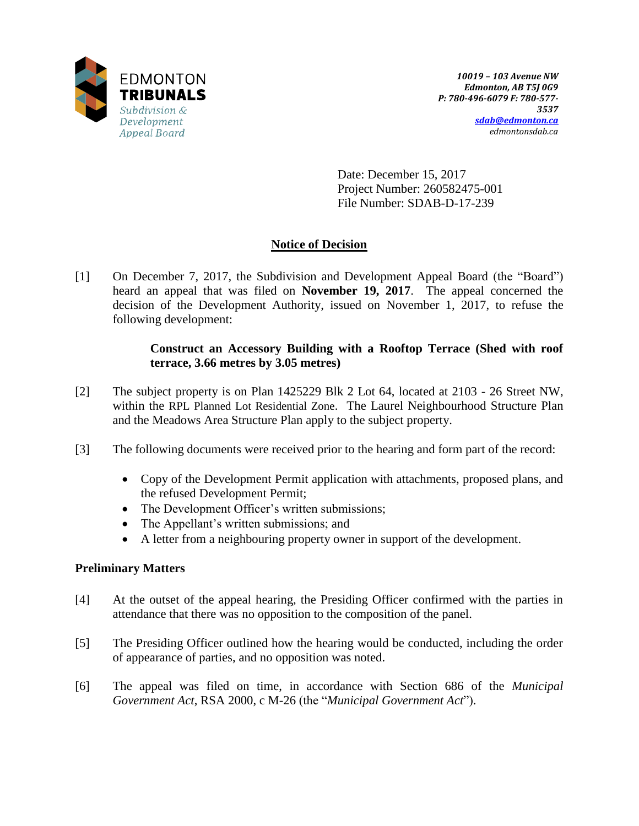

Date: December 15, 2017 Project Number: 260582475-001 File Number: SDAB-D-17-239

# **Notice of Decision**

[1] On December 7, 2017, the Subdivision and Development Appeal Board (the "Board") heard an appeal that was filed on **November 19, 2017**. The appeal concerned the decision of the Development Authority, issued on November 1, 2017, to refuse the following development:

# **Construct an Accessory Building with a Rooftop Terrace (Shed with roof terrace, 3.66 metres by 3.05 metres)**

- [2] The subject property is on Plan 1425229 Blk 2 Lot 64, located at 2103 26 Street NW, within the RPL Planned Lot Residential Zone. The Laurel Neighbourhood Structure Plan and the Meadows Area Structure Plan apply to the subject property.
- [3] The following documents were received prior to the hearing and form part of the record:
	- Copy of the Development Permit application with attachments, proposed plans, and the refused Development Permit;
	- The Development Officer's written submissions;
	- The Appellant's written submissions; and
	- A letter from a neighbouring property owner in support of the development.

# **Preliminary Matters**

- [4] At the outset of the appeal hearing, the Presiding Officer confirmed with the parties in attendance that there was no opposition to the composition of the panel.
- [5] The Presiding Officer outlined how the hearing would be conducted, including the order of appearance of parties, and no opposition was noted.
- [6] The appeal was filed on time, in accordance with Section 686 of the *Municipal Government Act*, RSA 2000, c M-26 (the "*Municipal Government Act*").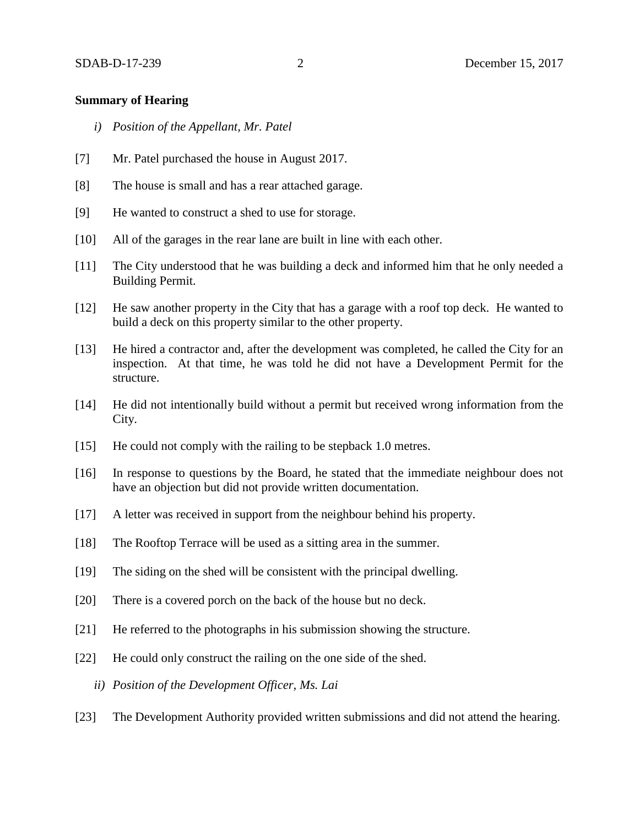#### **Summary of Hearing**

- *i) Position of the Appellant, Mr. Patel*
- [7] Mr. Patel purchased the house in August 2017.
- [8] The house is small and has a rear attached garage.
- [9] He wanted to construct a shed to use for storage.
- [10] All of the garages in the rear lane are built in line with each other.
- [11] The City understood that he was building a deck and informed him that he only needed a Building Permit.
- [12] He saw another property in the City that has a garage with a roof top deck. He wanted to build a deck on this property similar to the other property.
- [13] He hired a contractor and, after the development was completed, he called the City for an inspection. At that time, he was told he did not have a Development Permit for the structure.
- [14] He did not intentionally build without a permit but received wrong information from the City.
- [15] He could not comply with the railing to be stepback 1.0 metres.
- [16] In response to questions by the Board, he stated that the immediate neighbour does not have an objection but did not provide written documentation.
- [17] A letter was received in support from the neighbour behind his property.
- [18] The Rooftop Terrace will be used as a sitting area in the summer.
- [19] The siding on the shed will be consistent with the principal dwelling.
- [20] There is a covered porch on the back of the house but no deck.
- [21] He referred to the photographs in his submission showing the structure.
- [22] He could only construct the railing on the one side of the shed.
	- *ii) Position of the Development Officer, Ms. Lai*
- [23] The Development Authority provided written submissions and did not attend the hearing.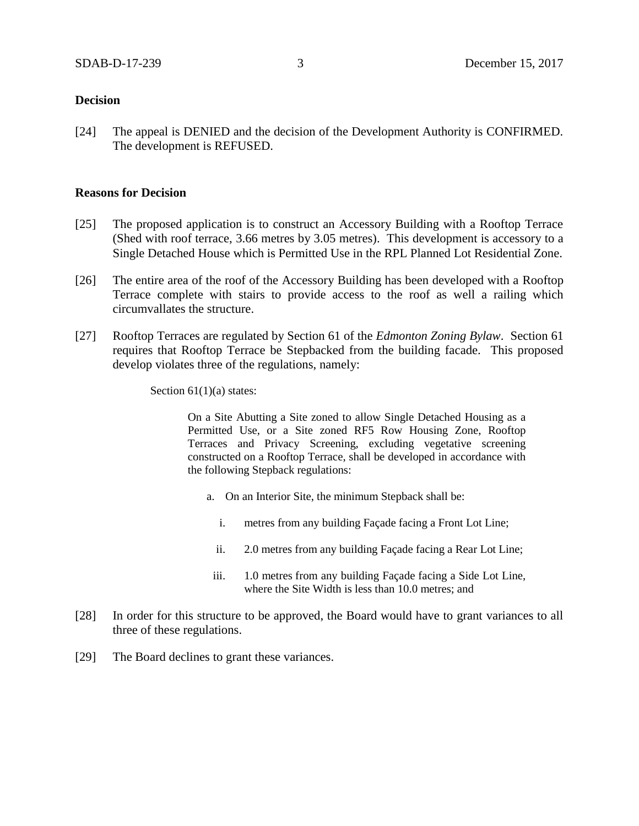#### **Decision**

[24] The appeal is DENIED and the decision of the Development Authority is CONFIRMED. The development is REFUSED.

#### **Reasons for Decision**

- [25] The proposed application is to construct an Accessory Building with a Rooftop Terrace (Shed with roof terrace, 3.66 metres by 3.05 metres). This development is accessory to a Single Detached House which is Permitted Use in the RPL Planned Lot Residential Zone.
- [26] The entire area of the roof of the Accessory Building has been developed with a Rooftop Terrace complete with stairs to provide access to the roof as well a railing which circumvallates the structure.
- [27] Rooftop Terraces are regulated by Section 61 of the *Edmonton Zoning Bylaw*. Section 61 requires that Rooftop Terrace be Stepbacked from the building facade. This proposed develop violates three of the regulations, namely:

Section  $61(1)(a)$  states:

On a Site Abutting a Site zoned to allow Single Detached Housing as a Permitted Use, or a Site zoned RF5 Row Housing Zone, Rooftop Terraces and Privacy Screening, excluding vegetative screening constructed on a Rooftop Terrace, shall be developed in accordance with the following Stepback regulations:

- a. On an Interior Site, the minimum Stepback shall be:
	- i. [me](javascript:void(0);)tres from any building Façade facing a Front Lot Line;
	- ii. [2.0 me](http://webdocs.edmonton.ca/InfraPlan/zoningbylaw/ZoningBylaw/Measurements/im2.htm)tres from any building Façade facing a Rear Lot Line;
- iii. [1.0 me](javascript:void(0);)tres from any building Façade facing a Side Lot Line, where the Site Width is less than [10.0 me](javascript:void(0);)tres; and
- [28] In order for this structure to be approved, the Board would have to grant variances to all three of these regulations.
- [29] The Board declines to grant these variances.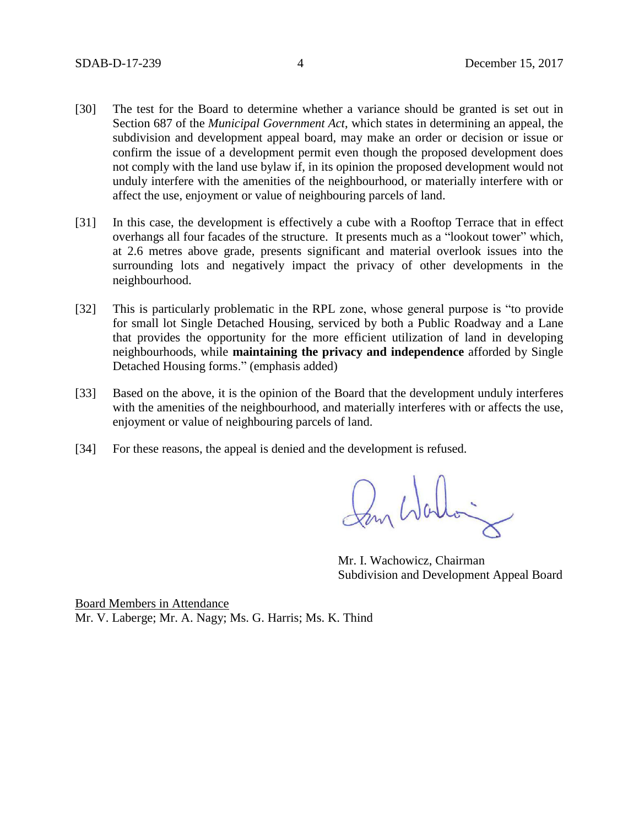- [30] The test for the Board to determine whether a variance should be granted is set out in Section 687 of the *Municipal Government Act*, which states in determining an appeal, the subdivision and development appeal board, may make an order or decision or issue or confirm the issue of a development permit even though the proposed development does not comply with the land use bylaw if, in its opinion the proposed development would not unduly interfere with the amenities of the neighbourhood, or materially interfere with or affect the use, enjoyment or value of neighbouring parcels of land.
- [31] In this case, the development is effectively a cube with a Rooftop Terrace that in effect overhangs all four facades of the structure. It presents much as a "lookout tower" which, at 2.6 metres above grade, presents significant and material overlook issues into the surrounding lots and negatively impact the privacy of other developments in the neighbourhood.
- [32] This is particularly problematic in the RPL zone, whose general purpose is "to provide for small lot Single Detached Housing, serviced by both a Public Roadway and a Lane that provides the opportunity for the more efficient utilization of land in developing neighbourhoods, while **maintaining the privacy and independence** afforded by Single Detached Housing forms." (emphasis added)
- [33] Based on the above, it is the opinion of the Board that the development unduly interferes with the amenities of the neighbourhood, and materially interferes with or affects the use, enjoyment or value of neighbouring parcels of land.
- [34] For these reasons, the appeal is denied and the development is refused.

Mr. I. Wachowicz, Chairman Subdivision and Development Appeal Board

Board Members in Attendance Mr. V. Laberge; Mr. A. Nagy; Ms. G. Harris; Ms. K. Thind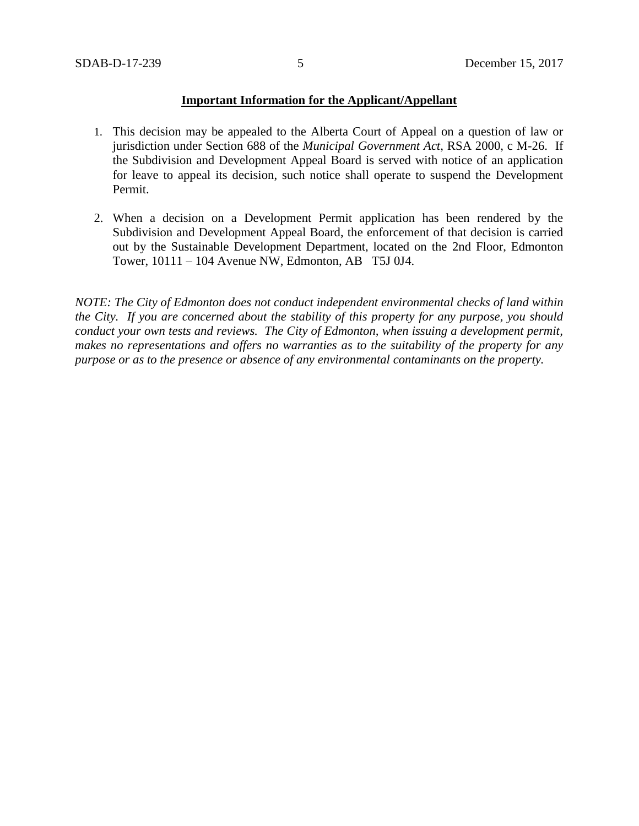## **Important Information for the Applicant/Appellant**

- 1. This decision may be appealed to the Alberta Court of Appeal on a question of law or jurisdiction under Section 688 of the *Municipal Government Act*, RSA 2000, c M-26. If the Subdivision and Development Appeal Board is served with notice of an application for leave to appeal its decision, such notice shall operate to suspend the Development Permit.
- 2. When a decision on a Development Permit application has been rendered by the Subdivision and Development Appeal Board, the enforcement of that decision is carried out by the Sustainable Development Department, located on the 2nd Floor, Edmonton Tower, 10111 – 104 Avenue NW, Edmonton, AB T5J 0J4.

*NOTE: The City of Edmonton does not conduct independent environmental checks of land within the City. If you are concerned about the stability of this property for any purpose, you should conduct your own tests and reviews. The City of Edmonton, when issuing a development permit, makes no representations and offers no warranties as to the suitability of the property for any purpose or as to the presence or absence of any environmental contaminants on the property.*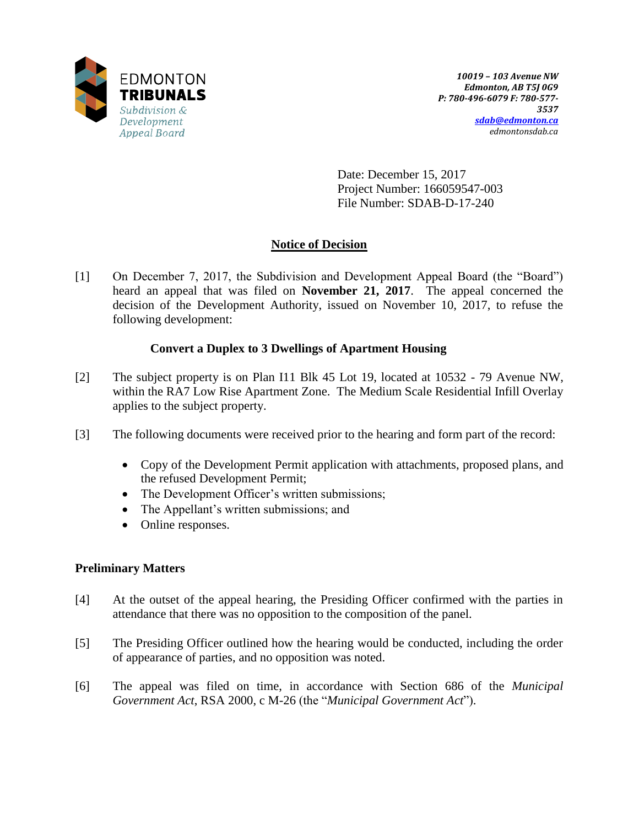

Date: December 15, 2017 Project Number: 166059547-003 File Number: SDAB-D-17-240

# **Notice of Decision**

[1] On December 7, 2017, the Subdivision and Development Appeal Board (the "Board") heard an appeal that was filed on **November 21, 2017**. The appeal concerned the decision of the Development Authority, issued on November 10, 2017, to refuse the following development:

# **Convert a Duplex to 3 Dwellings of Apartment Housing**

- [2] The subject property is on Plan I11 Blk 45 Lot 19, located at 10532 79 Avenue NW, within the RA7 Low Rise Apartment Zone. The Medium Scale Residential Infill Overlay applies to the subject property.
- [3] The following documents were received prior to the hearing and form part of the record:
	- Copy of the Development Permit application with attachments, proposed plans, and the refused Development Permit;
	- The Development Officer's written submissions;
	- The Appellant's written submissions; and
	- Online responses.

## **Preliminary Matters**

- [4] At the outset of the appeal hearing, the Presiding Officer confirmed with the parties in attendance that there was no opposition to the composition of the panel.
- [5] The Presiding Officer outlined how the hearing would be conducted, including the order of appearance of parties, and no opposition was noted.
- [6] The appeal was filed on time, in accordance with Section 686 of the *Municipal Government Act*, RSA 2000, c M-26 (the "*Municipal Government Act*").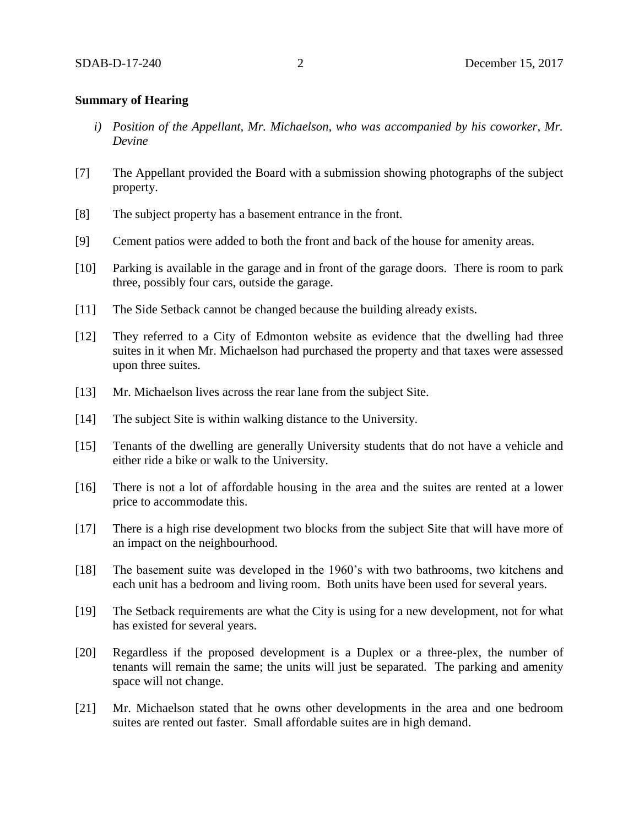#### **Summary of Hearing**

- *i) Position of the Appellant, Mr. Michaelson, who was accompanied by his coworker, Mr. Devine*
- [7] The Appellant provided the Board with a submission showing photographs of the subject property.
- [8] The subject property has a basement entrance in the front.
- [9] Cement patios were added to both the front and back of the house for amenity areas.
- [10] Parking is available in the garage and in front of the garage doors. There is room to park three, possibly four cars, outside the garage.
- [11] The Side Setback cannot be changed because the building already exists.
- [12] They referred to a City of Edmonton website as evidence that the dwelling had three suites in it when Mr. Michaelson had purchased the property and that taxes were assessed upon three suites.
- [13] Mr. Michaelson lives across the rear lane from the subject Site.
- [14] The subject Site is within walking distance to the University.
- [15] Tenants of the dwelling are generally University students that do not have a vehicle and either ride a bike or walk to the University.
- [16] There is not a lot of affordable housing in the area and the suites are rented at a lower price to accommodate this.
- [17] There is a high rise development two blocks from the subject Site that will have more of an impact on the neighbourhood.
- [18] The basement suite was developed in the 1960's with two bathrooms, two kitchens and each unit has a bedroom and living room. Both units have been used for several years.
- [19] The Setback requirements are what the City is using for a new development, not for what has existed for several years.
- [20] Regardless if the proposed development is a Duplex or a three-plex, the number of tenants will remain the same; the units will just be separated. The parking and amenity space will not change.
- [21] Mr. Michaelson stated that he owns other developments in the area and one bedroom suites are rented out faster. Small affordable suites are in high demand.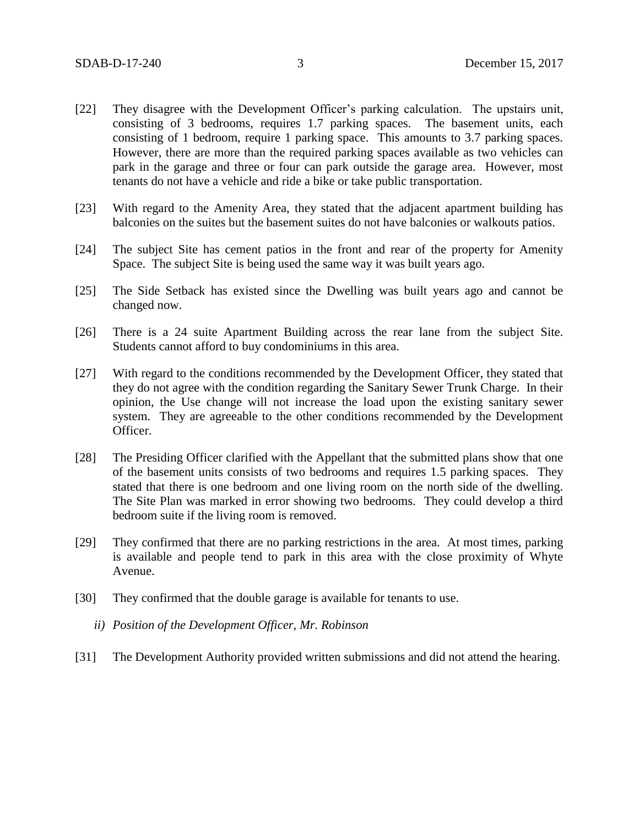- [22] They disagree with the Development Officer's parking calculation. The upstairs unit, consisting of 3 bedrooms, requires 1.7 parking spaces. The basement units, each consisting of 1 bedroom, require 1 parking space. This amounts to 3.7 parking spaces. However, there are more than the required parking spaces available as two vehicles can park in the garage and three or four can park outside the garage area. However, most tenants do not have a vehicle and ride a bike or take public transportation.
- [23] With regard to the Amenity Area, they stated that the adjacent apartment building has balconies on the suites but the basement suites do not have balconies or walkouts patios.
- [24] The subject Site has cement patios in the front and rear of the property for Amenity Space. The subject Site is being used the same way it was built years ago.
- [25] The Side Setback has existed since the Dwelling was built years ago and cannot be changed now.
- [26] There is a 24 suite Apartment Building across the rear lane from the subject Site. Students cannot afford to buy condominiums in this area.
- [27] With regard to the conditions recommended by the Development Officer, they stated that they do not agree with the condition regarding the Sanitary Sewer Trunk Charge. In their opinion, the Use change will not increase the load upon the existing sanitary sewer system. They are agreeable to the other conditions recommended by the Development Officer.
- [28] The Presiding Officer clarified with the Appellant that the submitted plans show that one of the basement units consists of two bedrooms and requires 1.5 parking spaces. They stated that there is one bedroom and one living room on the north side of the dwelling. The Site Plan was marked in error showing two bedrooms. They could develop a third bedroom suite if the living room is removed.
- [29] They confirmed that there are no parking restrictions in the area. At most times, parking is available and people tend to park in this area with the close proximity of Whyte Avenue.
- [30] They confirmed that the double garage is available for tenants to use.
	- *ii) Position of the Development Officer, Mr. Robinson*
- [31] The Development Authority provided written submissions and did not attend the hearing.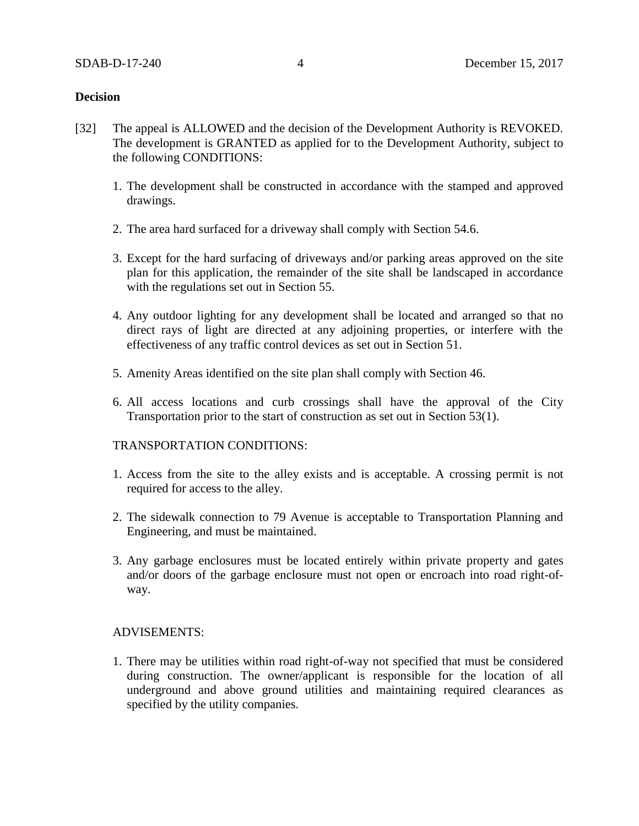#### **Decision**

- [32] The appeal is ALLOWED and the decision of the Development Authority is REVOKED. The development is GRANTED as applied for to the Development Authority, subject to the following CONDITIONS:
	- 1. The development shall be constructed in accordance with the stamped and approved drawings.
	- 2. The area hard surfaced for a driveway shall comply with Section 54.6.
	- 3. Except for the hard surfacing of driveways and/or parking areas approved on the site plan for this application, the remainder of the site shall be landscaped in accordance with the regulations set out in Section 55.
	- 4. Any outdoor lighting for any development shall be located and arranged so that no direct rays of light are directed at any adjoining properties, or interfere with the effectiveness of any traffic control devices as set out in Section 51.
	- 5. Amenity Areas identified on the site plan shall comply with Section 46.
	- 6. All access locations and curb crossings shall have the approval of the City Transportation prior to the start of construction as set out in Section 53(1).

#### TRANSPORTATION CONDITIONS:

- 1. Access from the site to the alley exists and is acceptable. A crossing permit is not required for access to the alley.
- 2. The sidewalk connection to 79 Avenue is acceptable to Transportation Planning and Engineering, and must be maintained.
- 3. Any garbage enclosures must be located entirely within private property and gates and/or doors of the garbage enclosure must not open or encroach into road right-ofway.

#### ADVISEMENTS:

1. There may be utilities within road right-of-way not specified that must be considered during construction. The owner/applicant is responsible for the location of all underground and above ground utilities and maintaining required clearances as specified by the utility companies.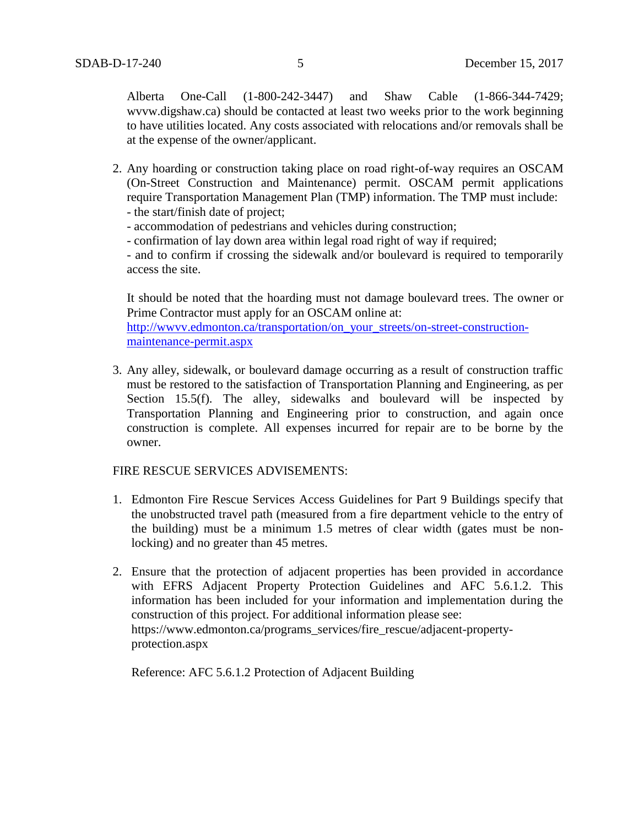Alberta One-Call (1-800-242-3447) and Shaw Cable (1-866-344-7429; wvvw.digshaw.ca) should be contacted at least two weeks prior to the work beginning to have utilities located. Any costs associated with relocations and/or removals shall be at the expense of the owner/applicant.

- 2. Any hoarding or construction taking place on road right-of-way requires an OSCAM (On-Street Construction and Maintenance) permit. OSCAM permit applications require Transportation Management Plan (TMP) information. The TMP must include:
	- the start/finish date of project;
	- accommodation of pedestrians and vehicles during construction;
	- confirmation of lay down area within legal road right of way if required;

- and to confirm if crossing the sidewalk and/or boulevard is required to temporarily access the site.

It should be noted that the hoarding must not damage boulevard trees. The owner or Prime Contractor must apply for an OSCAM online at:

[http://wwvv.edmonton.ca/transportation/on\\_your\\_streets/on-street-construction](http://wwvv.edmonton.ca/transportation/on_your_streets/on-street-construction-maintenance-permit.aspx)[maintenance-permit.aspx](http://wwvv.edmonton.ca/transportation/on_your_streets/on-street-construction-maintenance-permit.aspx)

3. Any alley, sidewalk, or boulevard damage occurring as a result of construction traffic must be restored to the satisfaction of Transportation Planning and Engineering, as per Section 15.5(f). The alley, sidewalks and boulevard will be inspected by Transportation Planning and Engineering prior to construction, and again once construction is complete. All expenses incurred for repair are to be borne by the owner.

## FIRE RESCUE SERVICES ADVISEMENTS:

- 1. Edmonton Fire Rescue Services Access Guidelines for Part 9 Buildings specify that the unobstructed travel path (measured from a fire department vehicle to the entry of the building) must be a minimum 1.5 metres of clear width (gates must be nonlocking) and no greater than 45 metres.
- 2. Ensure that the protection of adjacent properties has been provided in accordance with EFRS Adjacent Property Protection Guidelines and AFC 5.6.1.2. This information has been included for your information and implementation during the construction of this project. For additional information please see: https://www.edmonton.ca/programs\_services/fire\_rescue/adjacent-propertyprotection.aspx

Reference: AFC 5.6.1.2 Protection of Adjacent Building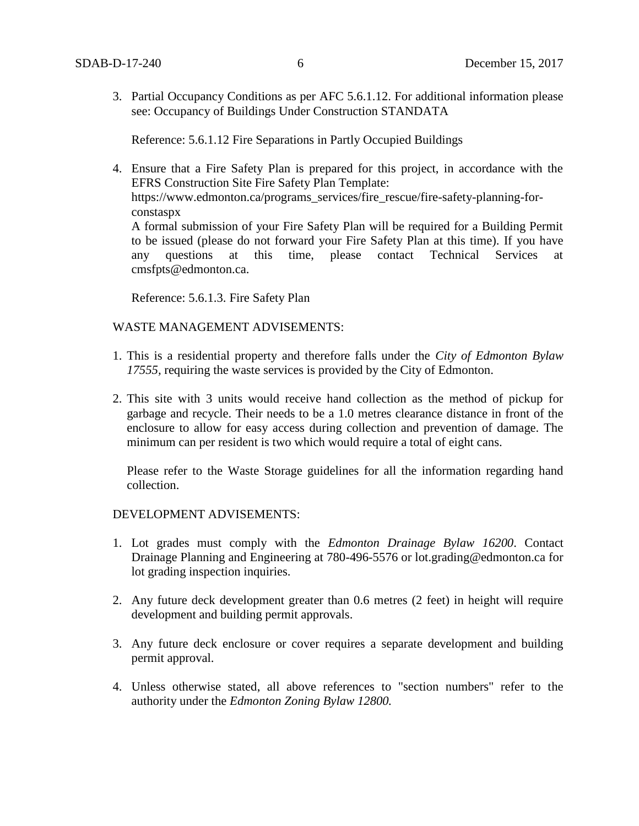3. Partial Occupancy Conditions as per AFC 5.6.1.12. For additional information please see: Occupancy of Buildings Under Construction STANDATA

Reference: 5.6.1.12 Fire Separations in Partly Occupied Buildings

4. Ensure that a Fire Safety Plan is prepared for this project, in accordance with the EFRS Construction Site Fire Safety Plan Template: https://www.edmonton.ca/programs\_services/fire\_rescue/fire-safety-planning-forconstaspx A formal submission of your Fire Safety Plan will be required for a Building Permit to be issued (please do not forward your Fire Safety Plan at this time). If you have any questions at this time, please contact Technical Services at cmsfpts@edmonton.ca.

Reference: 5.6.1.3. Fire Safety Plan

## WASTE MANAGEMENT ADVISEMENTS:

- 1. This is a residential property and therefore falls under the *City of Edmonton Bylaw 17555,* requiring the waste services is provided by the City of Edmonton.
- 2. This site with 3 units would receive hand collection as the method of pickup for garbage and recycle. Their needs to be a 1.0 metres clearance distance in front of the enclosure to allow for easy access during collection and prevention of damage. The minimum can per resident is two which would require a total of eight cans.

Please refer to the Waste Storage guidelines for all the information regarding hand collection.

#### DEVELOPMENT ADVISEMENTS:

- 1. Lot grades must comply with the *Edmonton Drainage Bylaw 16200*. Contact Drainage Planning and Engineering at 780-496-5576 or lot.grading@edmonton.ca for lot grading inspection inquiries.
- 2. Any future deck development greater than 0.6 metres (2 feet) in height will require development and building permit approvals.
- 3. Any future deck enclosure or cover requires a separate development and building permit approval.
- 4. Unless otherwise stated, all above references to "section numbers" refer to the authority under the *Edmonton Zoning Bylaw 12800.*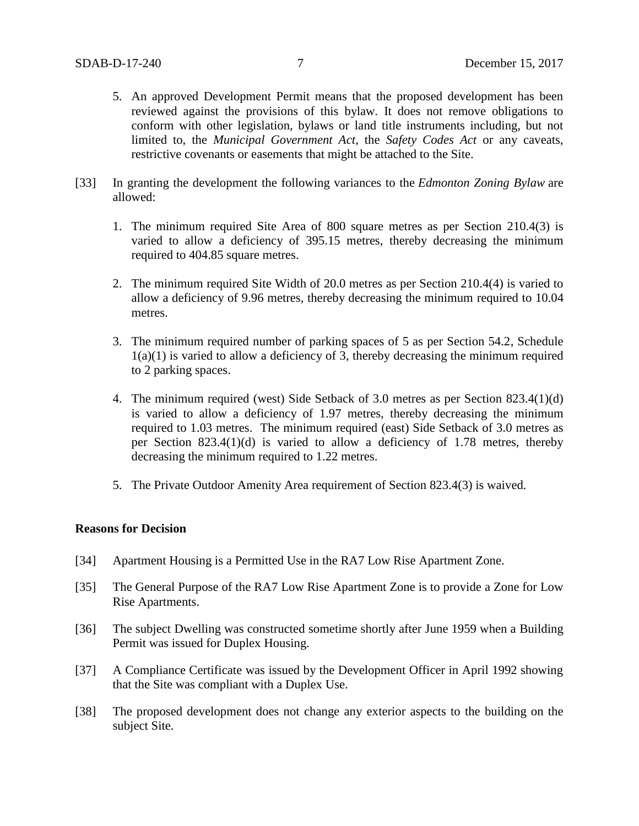- 5. An approved Development Permit means that the proposed development has been reviewed against the provisions of this bylaw. It does not remove obligations to conform with other legislation, bylaws or land title instruments including, but not limited to, the *Municipal Government Act*, the *Safety Codes Act* or any caveats, restrictive covenants or easements that might be attached to the Site.
- [33] In granting the development the following variances to the *Edmonton Zoning Bylaw* are allowed:
	- 1. The minimum required Site Area of 800 square metres as per Section 210.4(3) is varied to allow a deficiency of 395.15 metres, thereby decreasing the minimum required to 404.85 square metres.
	- 2. The minimum required Site Width of 20.0 metres as per Section 210.4(4) is varied to allow a deficiency of 9.96 metres, thereby decreasing the minimum required to 10.04 metres.
	- 3. The minimum required number of parking spaces of 5 as per Section 54.2, Schedule  $1(a)(1)$  is varied to allow a deficiency of 3, thereby decreasing the minimum required to 2 parking spaces.
	- 4. The minimum required (west) Side Setback of 3.0 metres as per Section 823.4(1)(d) is varied to allow a deficiency of 1.97 metres, thereby decreasing the minimum required to 1.03 metres. The minimum required (east) Side Setback of 3.0 metres as per Section 823.4(1)(d) is varied to allow a deficiency of 1.78 metres, thereby decreasing the minimum required to 1.22 metres.
	- 5. The Private Outdoor Amenity Area requirement of Section 823.4(3) is waived.

#### **Reasons for Decision**

- [34] Apartment Housing is a Permitted Use in the RA7 Low Rise Apartment Zone.
- [35] The General Purpose of the RA7 Low Rise Apartment Zone is to provide a Zone for Low Rise Apartments.
- [36] The subject Dwelling was constructed sometime shortly after June 1959 when a Building Permit was issued for Duplex Housing.
- [37] A Compliance Certificate was issued by the Development Officer in April 1992 showing that the Site was compliant with a Duplex Use.
- [38] The proposed development does not change any exterior aspects to the building on the subject Site.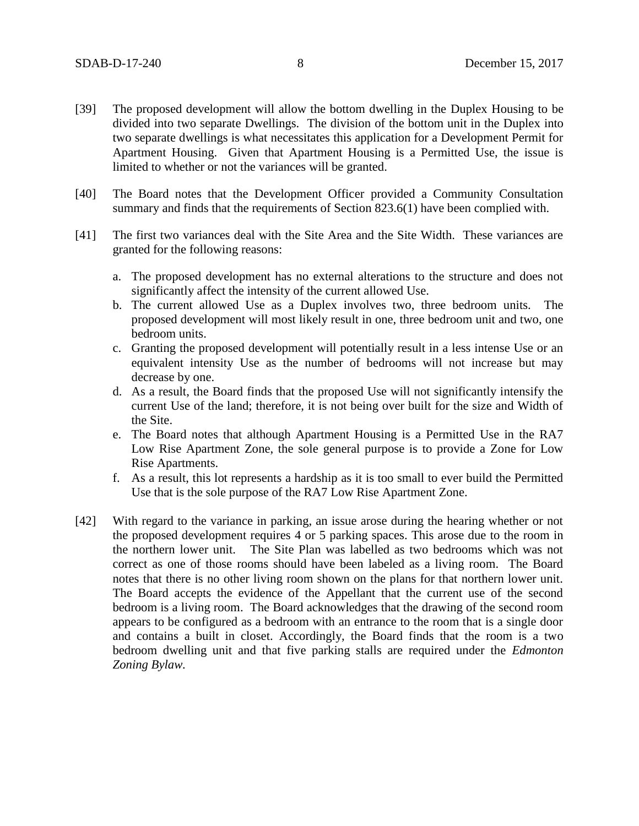- [39] The proposed development will allow the bottom dwelling in the Duplex Housing to be divided into two separate Dwellings. The division of the bottom unit in the Duplex into two separate dwellings is what necessitates this application for a Development Permit for Apartment Housing. Given that Apartment Housing is a Permitted Use, the issue is limited to whether or not the variances will be granted.
- [40] The Board notes that the Development Officer provided a Community Consultation summary and finds that the requirements of Section 823.6(1) have been complied with.
- [41] The first two variances deal with the Site Area and the Site Width. These variances are granted for the following reasons:
	- a. The proposed development has no external alterations to the structure and does not significantly affect the intensity of the current allowed Use.
	- b. The current allowed Use as a Duplex involves two, three bedroom units. The proposed development will most likely result in one, three bedroom unit and two, one bedroom units.
	- c. Granting the proposed development will potentially result in a less intense Use or an equivalent intensity Use as the number of bedrooms will not increase but may decrease by one.
	- d. As a result, the Board finds that the proposed Use will not significantly intensify the current Use of the land; therefore, it is not being over built for the size and Width of the Site.
	- e. The Board notes that although Apartment Housing is a Permitted Use in the RA7 Low Rise Apartment Zone, the sole general purpose is to provide a Zone for Low Rise Apartments.
	- f. As a result, this lot represents a hardship as it is too small to ever build the Permitted Use that is the sole purpose of the RA7 Low Rise Apartment Zone.
- [42] With regard to the variance in parking, an issue arose during the hearing whether or not the proposed development requires 4 or 5 parking spaces. This arose due to the room in the northern lower unit. The Site Plan was labelled as two bedrooms which was not correct as one of those rooms should have been labeled as a living room. The Board notes that there is no other living room shown on the plans for that northern lower unit. The Board accepts the evidence of the Appellant that the current use of the second bedroom is a living room. The Board acknowledges that the drawing of the second room appears to be configured as a bedroom with an entrance to the room that is a single door and contains a built in closet. Accordingly, the Board finds that the room is a two bedroom dwelling unit and that five parking stalls are required under the *Edmonton Zoning Bylaw.*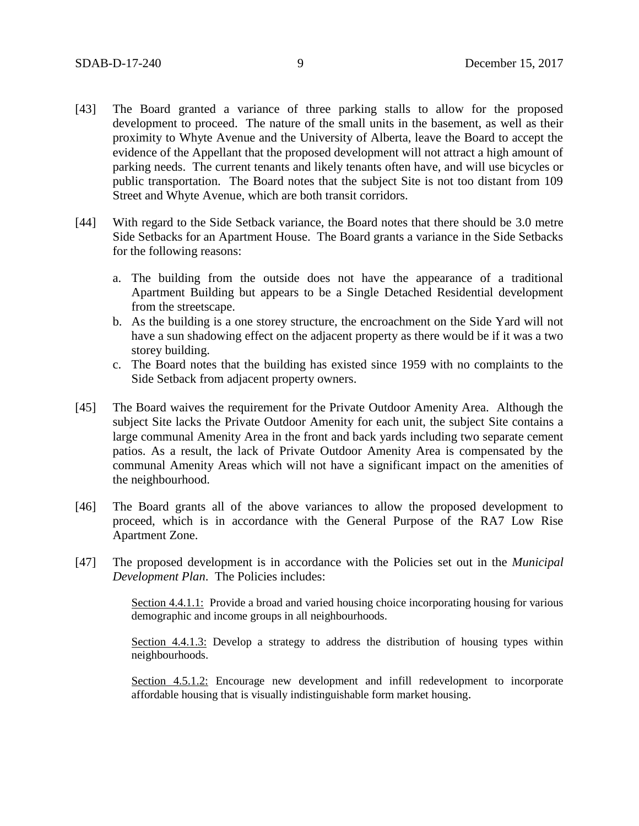- [43] The Board granted a variance of three parking stalls to allow for the proposed development to proceed. The nature of the small units in the basement, as well as their proximity to Whyte Avenue and the University of Alberta, leave the Board to accept the evidence of the Appellant that the proposed development will not attract a high amount of parking needs. The current tenants and likely tenants often have, and will use bicycles or public transportation. The Board notes that the subject Site is not too distant from 109 Street and Whyte Avenue, which are both transit corridors.
- [44] With regard to the Side Setback variance, the Board notes that there should be 3.0 metre Side Setbacks for an Apartment House. The Board grants a variance in the Side Setbacks for the following reasons:
	- a. The building from the outside does not have the appearance of a traditional Apartment Building but appears to be a Single Detached Residential development from the streetscape.
	- b. As the building is a one storey structure, the encroachment on the Side Yard will not have a sun shadowing effect on the adjacent property as there would be if it was a two storey building.
	- c. The Board notes that the building has existed since 1959 with no complaints to the Side Setback from adjacent property owners.
- [45] The Board waives the requirement for the Private Outdoor Amenity Area. Although the subject Site lacks the Private Outdoor Amenity for each unit, the subject Site contains a large communal Amenity Area in the front and back yards including two separate cement patios. As a result, the lack of Private Outdoor Amenity Area is compensated by the communal Amenity Areas which will not have a significant impact on the amenities of the neighbourhood.
- [46] The Board grants all of the above variances to allow the proposed development to proceed, which is in accordance with the General Purpose of the RA7 Low Rise Apartment Zone.
- [47] The proposed development is in accordance with the Policies set out in the *Municipal Development Plan*. The Policies includes:

Section 4.4.1.1: Provide a broad and varied housing choice incorporating housing for various demographic and income groups in all neighbourhoods.

Section 4.4.1.3: Develop a strategy to address the distribution of housing types within neighbourhoods.

Section 4.5.1.2: Encourage new development and infill redevelopment to incorporate affordable housing that is visually indistinguishable form market housing.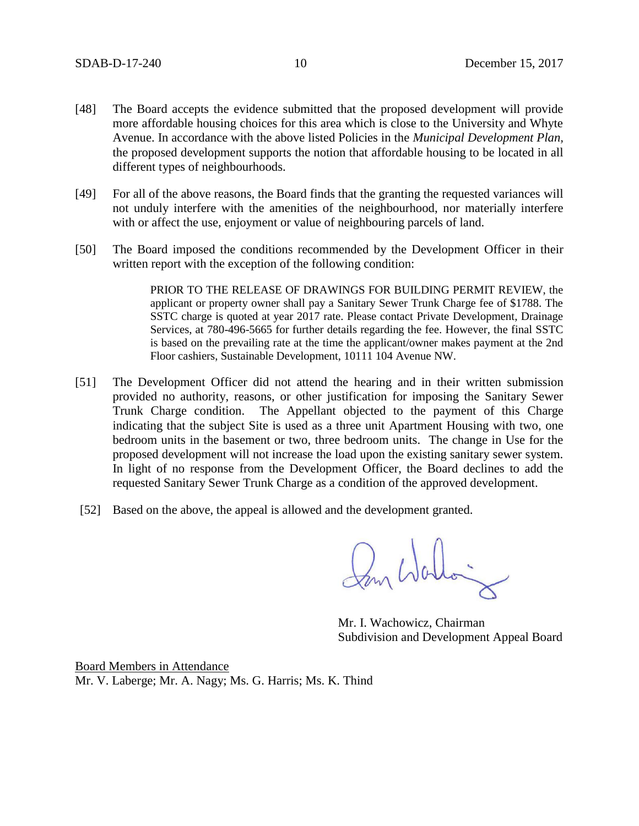- [48] The Board accepts the evidence submitted that the proposed development will provide more affordable housing choices for this area which is close to the University and Whyte Avenue. In accordance with the above listed Policies in the *Municipal Development Plan,*  the proposed development supports the notion that affordable housing to be located in all different types of neighbourhoods.
- [49] For all of the above reasons, the Board finds that the granting the requested variances will not unduly interfere with the amenities of the neighbourhood, nor materially interfere with or affect the use, enjoyment or value of neighbouring parcels of land.
- [50] The Board imposed the conditions recommended by the Development Officer in their written report with the exception of the following condition:

PRIOR TO THE RELEASE OF DRAWINGS FOR BUILDING PERMIT REVIEW, the applicant or property owner shall pay a Sanitary Sewer Trunk Charge fee of \$1788. The SSTC charge is quoted at year 2017 rate. Please contact Private Development, Drainage Services, at 780-496-5665 for further details regarding the fee. However, the final SSTC is based on the prevailing rate at the time the applicant/owner makes payment at the 2nd Floor cashiers, Sustainable Development, 10111 104 Avenue NW.

- [51] The Development Officer did not attend the hearing and in their written submission provided no authority, reasons, or other justification for imposing the Sanitary Sewer Trunk Charge condition. The Appellant objected to the payment of this Charge indicating that the subject Site is used as a three unit Apartment Housing with two, one bedroom units in the basement or two, three bedroom units. The change in Use for the proposed development will not increase the load upon the existing sanitary sewer system. In light of no response from the Development Officer, the Board declines to add the requested Sanitary Sewer Trunk Charge as a condition of the approved development.
- [52] Based on the above, the appeal is allowed and the development granted.

Pan Walloi

Mr. I. Wachowicz, Chairman Subdivision and Development Appeal Board

Board Members in Attendance Mr. V. Laberge; Mr. A. Nagy; Ms. G. Harris; Ms. K. Thind